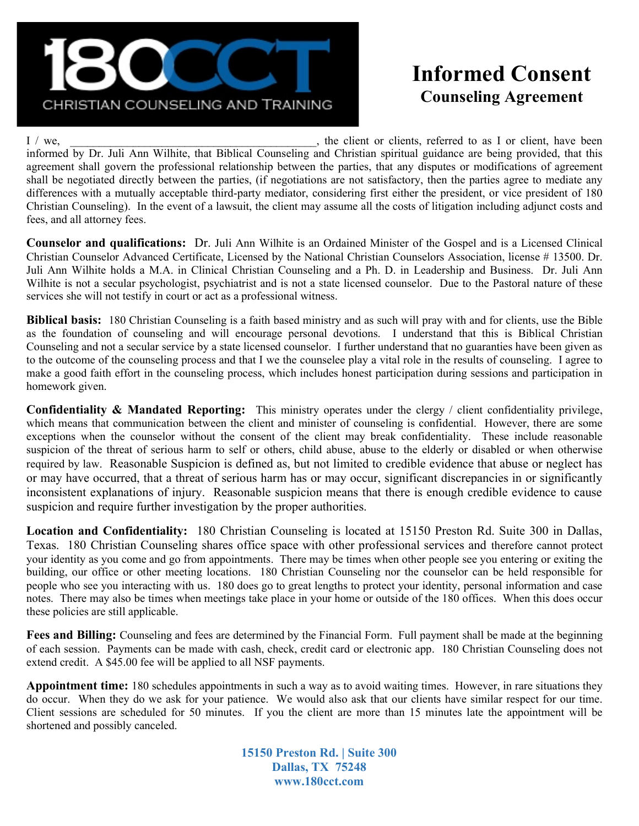

## Informed Consent Counseling Agreement

I / we, we, the client or clients, referred to as I or client, have been informed by Dr. Juli Ann Wilhite, that Biblical Counseling and Christian spiritual guidance are being provided, that this agreement shall govern the professional relationship between the parties, that any disputes or modifications of agreement shall be negotiated directly between the parties, (if negotiations are not satisfactory, then the parties agree to mediate any differences with a mutually acceptable third-party mediator, considering first either the president, or vice president of 180 Christian Counseling). In the event of a lawsuit, the client may assume all the costs of litigation including adjunct costs and fees, and all attorney fees.

Counselor and qualifications: Dr. Juli Ann Wilhite is an Ordained Minister of the Gospel and is a Licensed Clinical Christian Counselor Advanced Certificate, Licensed by the National Christian Counselors Association, license # 13500. Dr. Juli Ann Wilhite holds a M.A. in Clinical Christian Counseling and a Ph. D. in Leadership and Business. Dr. Juli Ann Wilhite is not a secular psychologist, psychiatrist and is not a state licensed counselor. Due to the Pastoral nature of these services she will not testify in court or act as a professional witness.

Biblical basis: 180 Christian Counseling is a faith based ministry and as such will pray with and for clients, use the Bible as the foundation of counseling and will encourage personal devotions. I understand that this is Biblical Christian Counseling and not a secular service by a state licensed counselor. I further understand that no guaranties have been given as to the outcome of the counseling process and that I we the counselee play a vital role in the results of counseling. I agree to make a good faith effort in the counseling process, which includes honest participation during sessions and participation in homework given.

**Confidentiality & Mandated Reporting:** This ministry operates under the clergy  $\ell$  client confidentiality privilege, which means that communication between the client and minister of counseling is confidential. However, there are some exceptions when the counselor without the consent of the client may break confidentiality. These include reasonable suspicion of the threat of serious harm to self or others, child abuse, abuse to the elderly or disabled or when otherwise required by law. Reasonable Suspicion is defined as, but not limited to credible evidence that abuse or neglect has or may have occurred, that a threat of serious harm has or may occur, significant discrepancies in or significantly inconsistent explanations of injury. Reasonable suspicion means that there is enough credible evidence to cause suspicion and require further investigation by the proper authorities.

Location and Confidentiality: 180 Christian Counseling is located at 15150 Preston Rd. Suite 300 in Dallas, Texas. 180 Christian Counseling shares office space with other professional services and therefore cannot protect your identity as you come and go from appointments. There may be times when other people see you entering or exiting the building, our office or other meeting locations. 180 Christian Counseling nor the counselor can be held responsible for people who see you interacting with us. 180 does go to great lengths to protect your identity, personal information and case notes. There may also be times when meetings take place in your home or outside of the 180 offices. When this does occur these policies are still applicable.

Fees and Billing: Counseling and fees are determined by the Financial Form. Full payment shall be made at the beginning of each session. Payments can be made with cash, check, credit card or electronic app. 180 Christian Counseling does not extend credit. A \$45.00 fee will be applied to all NSF payments.

Appointment time: 180 schedules appointments in such a way as to avoid waiting times. However, in rare situations they do occur. When they do we ask for your patience. We would also ask that our clients have similar respect for our time. Client sessions are scheduled for 50 minutes. If you the client are more than 15 minutes late the appointment will be shortened and possibly canceled.

> 15150 Preston Rd. | Suite 300 Dallas, TX 75248 www.180cct.com